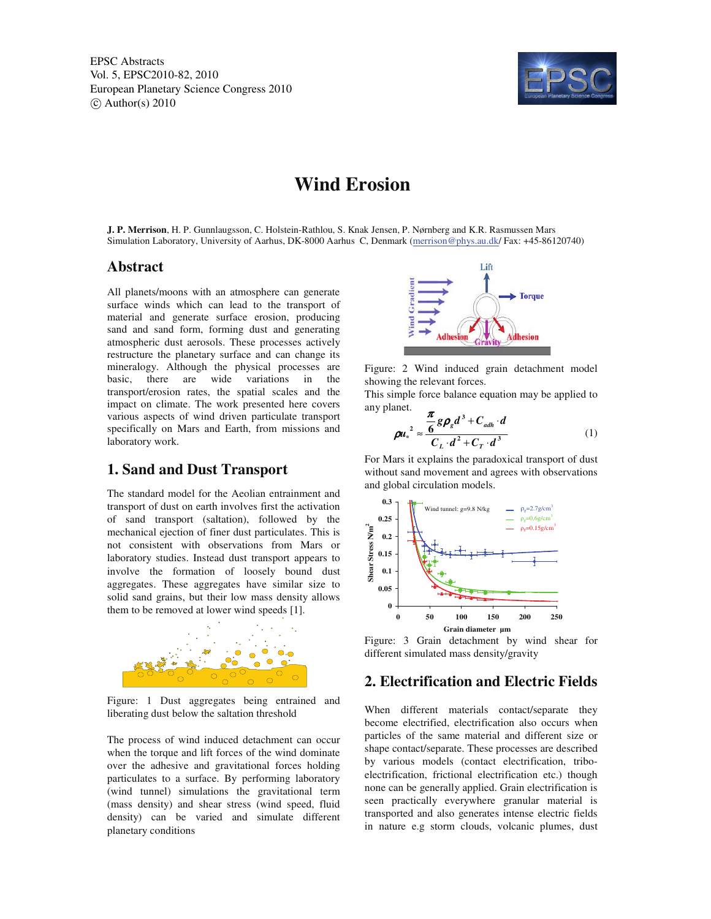EPSC Abstracts Vol. 5, EPSC2010-82, 2010 European Planetary Science Congress 2010  $\circ$  Author(s) 2010



# **Wind Erosion**

**J. P. Merrison**, H. P. Gunnlaugsson, C. Holstein-Rathlou, S. Knak Jensen, P. Nørnberg and K.R. Rasmussen Mars Simulation Laboratory, University of Aarhus, DK-8000 Aarhus C, Denmark (merrison@phys.au.dk/ Fax: +45-86120740)

### **Abstract**

All planets/moons with an atmosphere can generate surface winds which can lead to the transport of material and generate surface erosion, producing sand and sand form, forming dust and generating atmospheric dust aerosols. These processes actively restructure the planetary surface and can change its mineralogy. Although the physical processes are basic, there are wide variations in the transport/erosion rates, the spatial scales and the impact on climate. The work presented here covers various aspects of wind driven particulate transport specifically on Mars and Earth, from missions and laboratory work.

#### **1. Sand and Dust Transport**

The standard model for the Aeolian entrainment and transport of dust on earth involves first the activation of sand transport (saltation), followed by the mechanical ejection of finer dust particulates. This is not consistent with observations from Mars or laboratory studies. Instead dust transport appears to involve the formation of loosely bound dust aggregates. These aggregates have similar size to solid sand grains, but their low mass density allows them to be removed at lower wind speeds [1].



Figure: 1 Dust aggregates being entrained and liberating dust below the saltation threshold

The process of wind induced detachment can occur when the torque and lift forces of the wind dominate over the adhesive and gravitational forces holding particulates to a surface. By performing laboratory (wind tunnel) simulations the gravitational term (mass density) and shear stress (wind speed, fluid density) can be varied and simulate different planetary conditions



Figure: 2 Wind induced grain detachment model showing the relevant forces.

This simple force balance equation may be applied to any planet.

$$
\rho u_*^2 \approx \frac{\frac{\pi}{6} g \rho_g d^3 + C_{adh} \cdot d}{C_L \cdot d^2 + C_T \cdot d^3}
$$
 (1)

For Mars it explains the paradoxical transport of dust without sand movement and agrees with observations and global circulation models.



Figure: 3 Grain detachment by wind shear for different simulated mass density/gravity

### **2. Electrification and Electric Fields**

When different materials contact/separate they become electrified, electrification also occurs when particles of the same material and different size or shape contact/separate. These processes are described by various models (contact electrification, triboelectrification, frictional electrification etc.) though none can be generally applied. Grain electrification is seen practically everywhere granular material is transported and also generates intense electric fields in nature e.g storm clouds, volcanic plumes, dust